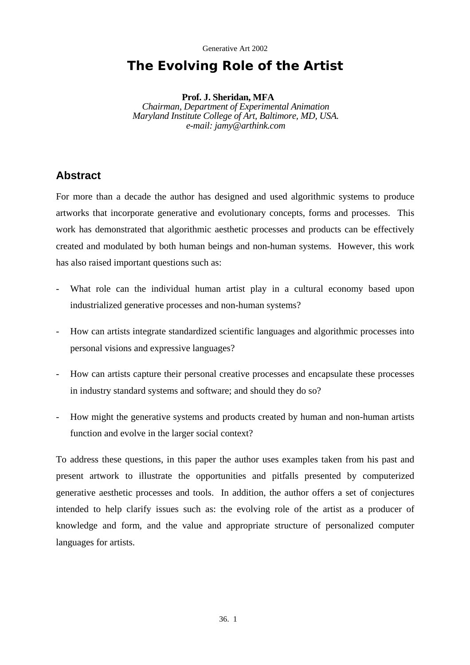# **The Evolving Role of the Artist**

**Prof. J. Sheridan, MFA**  *Chairman, Department of Experimental Animation Maryland Institute College of Art, Baltimore, MD, USA. e-mail: jamy@arthink.com* 

# **Abstract**

For more than a decade the author has designed and used algorithmic systems to produce artworks that incorporate generative and evolutionary concepts, forms and processes. This work has demonstrated that algorithmic aesthetic processes and products can be effectively created and modulated by both human beings and non-human systems. However, this work has also raised important questions such as:

- What role can the individual human artist play in a cultural economy based upon industrialized generative processes and non-human systems?
- How can artists integrate standardized scientific languages and algorithmic processes into personal visions and expressive languages?
- How can artists capture their personal creative processes and encapsulate these processes in industry standard systems and software; and should they do so?
- How might the generative systems and products created by human and non-human artists function and evolve in the larger social context?

To address these questions, in this paper the author uses examples taken from his past and present artwork to illustrate the opportunities and pitfalls presented by computerized generative aesthetic processes and tools. In addition, the author offers a set of conjectures intended to help clarify issues such as: the evolving role of the artist as a producer of knowledge and form, and the value and appropriate structure of personalized computer languages for artists.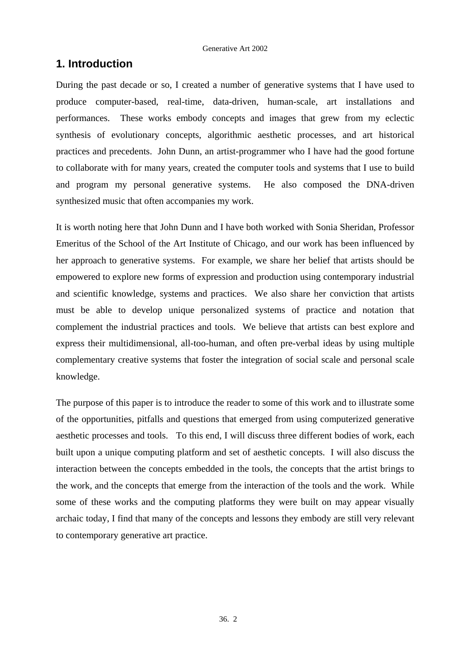# **1. Introduction**

During the past decade or so, I created a number of generative systems that I have used to produce computer-based, real-time, data-driven, human-scale, art installations and performances. These works embody concepts and images that grew from my eclectic synthesis of evolutionary concepts, algorithmic aesthetic processes, and art historical practices and precedents. John Dunn, an artist-programmer who I have had the good fortune to collaborate with for many years, created the computer tools and systems that I use to build and program my personal generative systems. He also composed the DNA-driven synthesized music that often accompanies my work.

It is worth noting here that John Dunn and I have both worked with Sonia Sheridan, Professor Emeritus of the School of the Art Institute of Chicago, and our work has been influenced by her approach to generative systems. For example, we share her belief that artists should be empowered to explore new forms of expression and production using contemporary industrial and scientific knowledge, systems and practices. We also share her conviction that artists must be able to develop unique personalized systems of practice and notation that complement the industrial practices and tools. We believe that artists can best explore and express their multidimensional, all-too-human, and often pre-verbal ideas by using multiple complementary creative systems that foster the integration of social scale and personal scale knowledge.

The purpose of this paper is to introduce the reader to some of this work and to illustrate some of the opportunities, pitfalls and questions that emerged from using computerized generative aesthetic processes and tools. To this end, I will discuss three different bodies of work, each built upon a unique computing platform and set of aesthetic concepts. I will also discuss the interaction between the concepts embedded in the tools, the concepts that the artist brings to the work, and the concepts that emerge from the interaction of the tools and the work. While some of these works and the computing platforms they were built on may appear visually archaic today, I find that many of the concepts and lessons they embody are still very relevant to contemporary generative art practice.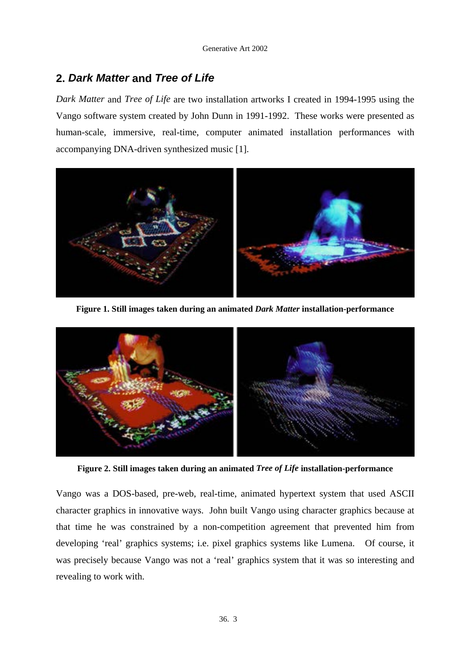# **2.** *Dark Matter* **and** *Tree of Life*

*Dark Matter* and *Tree of Life* are two installation artworks I created in 1994-1995 using the Vango software system created by John Dunn in 1991-1992. These works were presented as human-scale, immersive, real-time, computer animated installation performances with accompanying DNA-driven synthesized music [1].



**Figure 1. Still images taken during an animated** *Dark Matter* **installation-performance** 



**Figure 2. Still images taken during an animated** *Tree of Life* **installation-performance** 

Vango was a DOS-based, pre-web, real-time, animated hypertext system that used ASCII character graphics in innovative ways. John built Vango using character graphics because at that time he was constrained by a non-competition agreement that prevented him from developing 'real' graphics systems; i.e. pixel graphics systems like Lumena. Of course, it was precisely because Vango was not a 'real' graphics system that it was so interesting and revealing to work with.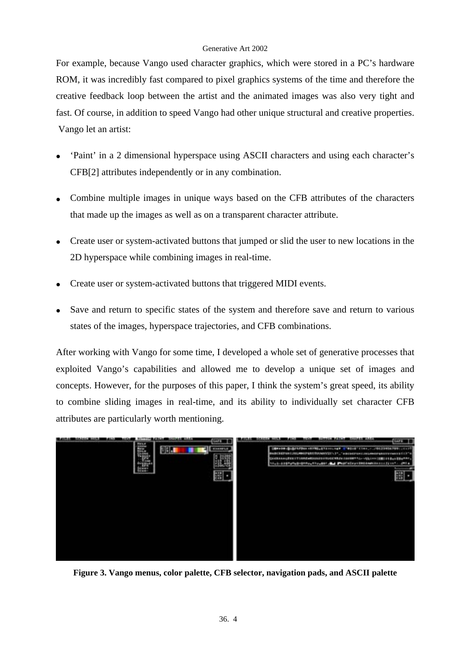For example, because Vango used character graphics, which were stored in a PC's hardware ROM, it was incredibly fast compared to pixel graphics systems of the time and therefore the creative feedback loop between the artist and the animated images was also very tight and fast. Of course, in addition to speed Vango had other unique structural and creative properties. Vango let an artist:

- 'Paint' in a 2 dimensional hyperspace using ASCII characters and using each character's CFB[2] attributes independently or in any combination.
- Combine multiple images in unique ways based on the CFB attributes of the characters that made up the images as well as on a transparent character attribute.
- Create user or system-activated buttons that jumped or slid the user to new locations in the 2D hyperspace while combining images in real-time.
- Create user or system-activated buttons that triggered MIDI events.
- Save and return to specific states of the system and therefore save and return to various states of the images, hyperspace trajectories, and CFB combinations.

After working with Vango for some time, I developed a whole set of generative processes that exploited Vango's capabilities and allowed me to develop a unique set of images and concepts. However, for the purposes of this paper, I think the system's great speed, its ability to combine sliding images in real-time, and its ability to individually set character CFB attributes are particularly worth mentioning.



**Figure 3. Vango menus, color palette, CFB selector, navigation pads, and ASCII palette**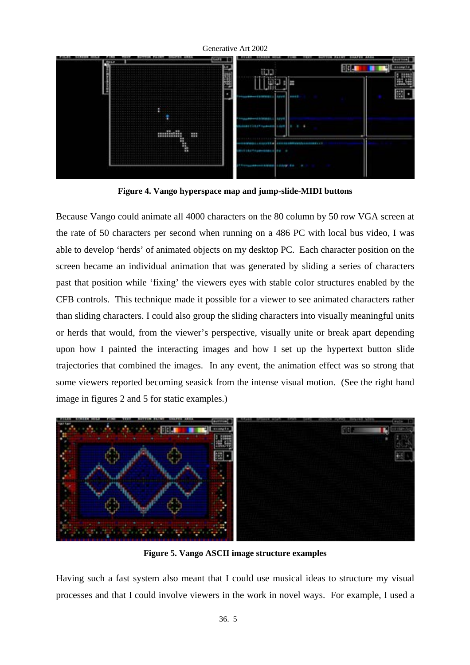

**Figure 4. Vango hyperspace map and jump-slide-MIDI buttons** 

Because Vango could animate all 4000 characters on the 80 column by 50 row VGA screen at the rate of 50 characters per second when running on a 486 PC with local bus video, I was able to develop 'herds' of animated objects on my desktop PC. Each character position on the screen became an individual animation that was generated by sliding a series of characters past that position while 'fixing' the viewers eyes with stable color structures enabled by the CFB controls. This technique made it possible for a viewer to see animated characters rather than sliding characters. I could also group the sliding characters into visually meaningful units or herds that would, from the viewer's perspective, visually unite or break apart depending upon how I painted the interacting images and how I set up the hypertext button slide trajectories that combined the images. In any event, the animation effect was so strong that some viewers reported becoming seasick from the intense visual motion. (See the right hand image in figures 2 and 5 for static examples.)



**Figure 5. Vango ASCII image structure examples** 

Having such a fast system also meant that I could use musical ideas to structure my visual processes and that I could involve viewers in the work in novel ways. For example, I used a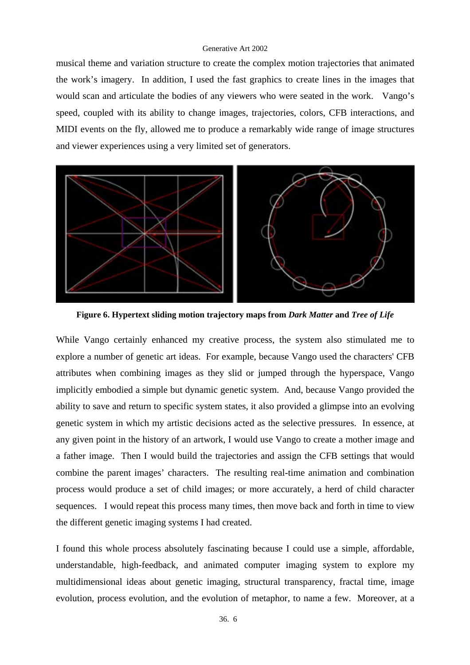musical theme and variation structure to create the complex motion trajectories that animated the work's imagery. In addition, I used the fast graphics to create lines in the images that would scan and articulate the bodies of any viewers who were seated in the work. Vango's speed, coupled with its ability to change images, trajectories, colors, CFB interactions, and MIDI events on the fly, allowed me to produce a remarkably wide range of image structures and viewer experiences using a very limited set of generators.



**Figure 6. Hypertext sliding motion trajectory maps from** *Dark Matter* **and** *Tree of Life*

While Vango certainly enhanced my creative process, the system also stimulated me to explore a number of genetic art ideas. For example, because Vango used the characters' CFB attributes when combining images as they slid or jumped through the hyperspace, Vango implicitly embodied a simple but dynamic genetic system. And, because Vango provided the ability to save and return to specific system states, it also provided a glimpse into an evolving genetic system in which my artistic decisions acted as the selective pressures. In essence, at any given point in the history of an artwork, I would use Vango to create a mother image and a father image. Then I would build the trajectories and assign the CFB settings that would combine the parent images' characters. The resulting real-time animation and combination process would produce a set of child images; or more accurately, a herd of child character sequences. I would repeat this process many times, then move back and forth in time to view the different genetic imaging systems I had created.

I found this whole process absolutely fascinating because I could use a simple, affordable, understandable, high-feedback, and animated computer imaging system to explore my multidimensional ideas about genetic imaging, structural transparency, fractal time, image evolution, process evolution, and the evolution of metaphor, to name a few. Moreover, at a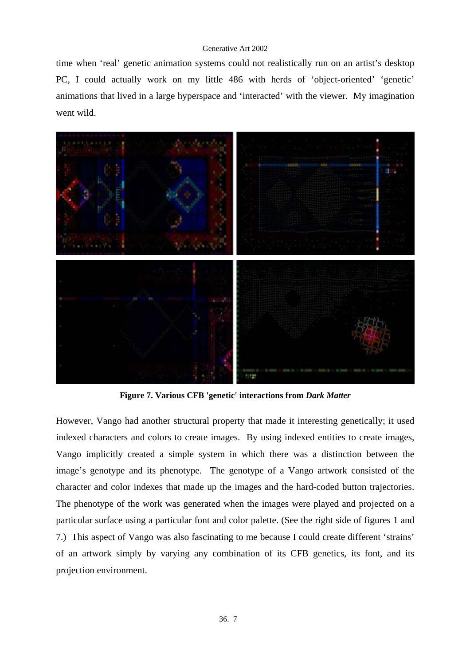time when 'real' genetic animation systems could not realistically run on an artist's desktop PC, I could actually work on my little 486 with herds of 'object-oriented' 'genetic' animations that lived in a large hyperspace and 'interacted' with the viewer. My imagination went wild.



**Figure 7. Various CFB 'genetic' interactions from** *Dark Matter*

However, Vango had another structural property that made it interesting genetically; it used indexed characters and colors to create images. By using indexed entities to create images, Vango implicitly created a simple system in which there was a distinction between the image's genotype and its phenotype. The genotype of a Vango artwork consisted of the character and color indexes that made up the images and the hard-coded button trajectories. The phenotype of the work was generated when the images were played and projected on a particular surface using a particular font and color palette. (See the right side of figures 1 and 7.) This aspect of Vango was also fascinating to me because I could create different 'strains' of an artwork simply by varying any combination of its CFB genetics, its font, and its projection environment.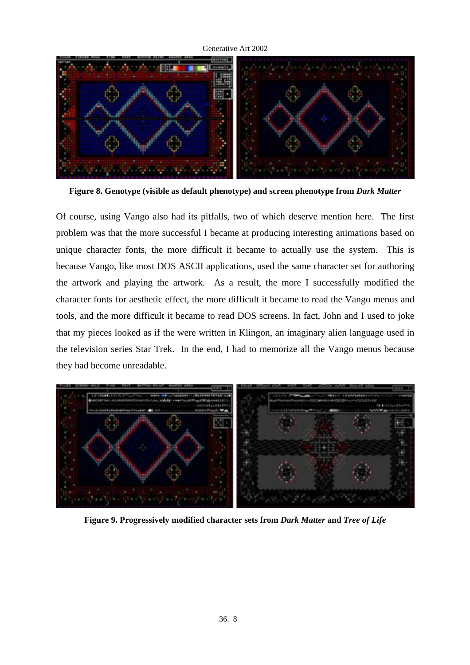

**Figure 8. Genotype (visible as default phenotype) and screen phenotype from** *Dark Matter*

Of course, using Vango also had its pitfalls, two of which deserve mention here. The first problem was that the more successful I became at producing interesting animations based on unique character fonts, the more difficult it became to actually use the system. This is because Vango, like most DOS ASCII applications, used the same character set for authoring the artwork and playing the artwork. As a result, the more I successfully modified the character fonts for aesthetic effect, the more difficult it became to read the Vango menus and tools, and the more difficult it became to read DOS screens. In fact, John and I used to joke that my pieces looked as if the were written in Klingon, an imaginary alien language used in the television series Star Trek. In the end, I had to memorize all the Vango menus because they had become unreadable.



**Figure 9. Progressively modified character sets from** *Dark Matter* **and** *Tree of Life*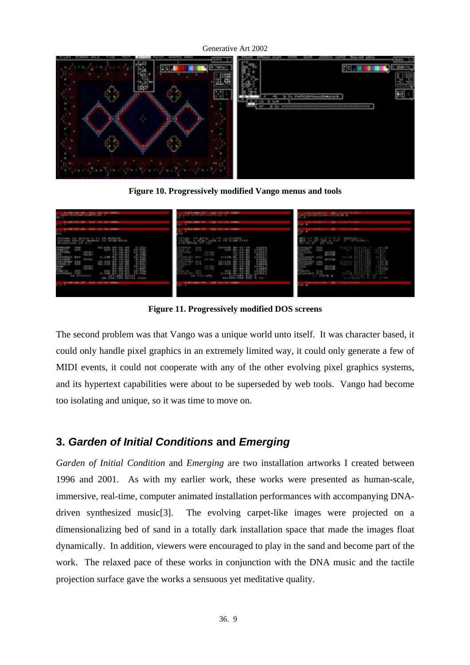**Figure 10. Progressively modified Vango menus and tools** 

| <b>SMALL</b><br><b>Riddell and American Company</b><br>the first strictly tested<br>94 | <b>ISS</b><br>÷.<br><b>Barbara Barbara</b><br>196 13 13 1991<br>$\overline{\phantom{a}}$ | <b>SALES PERMIT RATIONAL</b> |
|----------------------------------------------------------------------------------------|------------------------------------------------------------------------------------------|------------------------------|
| <b>ALCOHOL: THE STATE ORDER</b><br>10.01 Links 17-1212-0-4                             | 197, 11-13<br>1481<br>-<br><b>Call Carl Roberton</b>                                     | <b>CAST PERMIT</b>           |
| 0.00001<br><b>The R</b><br><b>ATTENDA</b><br>ua.<br>Fores                              | E.<br><b>ALCOHOL:</b><br><b>THE REAL PROPERTY</b>                                        | $1 - 1$<br>42<br>4.44        |
| 00103107<br>1944 1941 1949 1944                                                        | 100108-016<br>12-13-1991<br><b>STAFF</b>                                                 |                              |

**Figure 11. Progressively modified DOS screens** 

The second problem was that Vango was a unique world unto itself. It was character based, it could only handle pixel graphics in an extremely limited way, it could only generate a few of MIDI events, it could not cooperate with any of the other evolving pixel graphics systems, and its hypertext capabilities were about to be superseded by web tools. Vango had become too isolating and unique, so it was time to move on.

# **3.** *Garden of Initial Conditions* **and** *Emerging*

*Garden of Initial Condition* and *Emerging* are two installation artworks I created between 1996 and 2001. As with my earlier work, these works were presented as human-scale, immersive, real-time, computer animated installation performances with accompanying DNAdriven synthesized music[3]. The evolving carpet-like images were projected on a dimensionalizing bed of sand in a totally dark installation space that made the images float dynamically. In addition, viewers were encouraged to play in the sand and become part of the work. The relaxed pace of these works in conjunction with the DNA music and the tactile projection surface gave the works a sensuous yet meditative quality.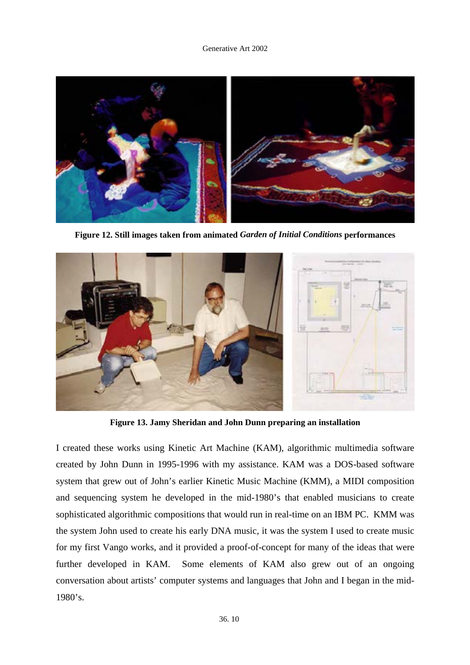

**Figure 12. Still images taken from animated** *Garden of Initial Conditions* **performances** 



**Figure 13. Jamy Sheridan and John Dunn preparing an installation** 

I created these works using Kinetic Art Machine (KAM), algorithmic multimedia software created by John Dunn in 1995-1996 with my assistance. KAM was a DOS-based software system that grew out of John's earlier Kinetic Music Machine (KMM), a MIDI composition and sequencing system he developed in the mid-1980's that enabled musicians to create sophisticated algorithmic compositions that would run in real-time on an IBM PC. KMM was the system John used to create his early DNA music, it was the system I used to create music for my first Vango works, and it provided a proof-of-concept for many of the ideas that were further developed in KAM. Some elements of KAM also grew out of an ongoing conversation about artists' computer systems and languages that John and I began in the mid-1980's.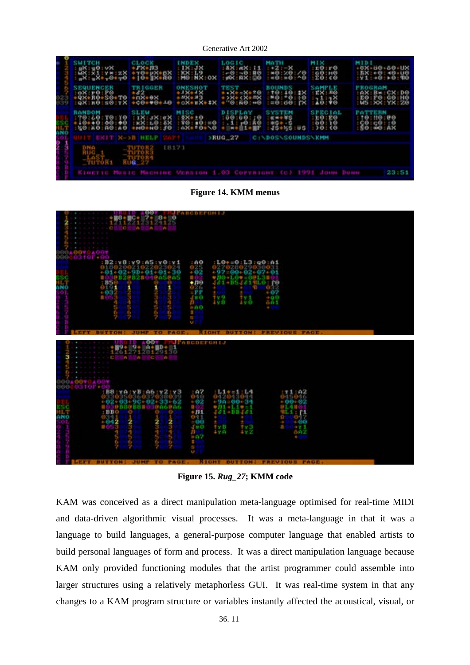| <b>SWITCH</b><br>ux:u0:vx<br>ux:x1:y*:zX<br>mx:mx+y0+y0                       | <b>CLOCK</b><br>$*78*73$<br>$*70*98*98$<br>$*10*18*60$ | INDER<br>$KX: L9$<br>$M0: NX: OX$                                            | LOGIC.<br><b>RX:11</b><br><b>AKT</b><br>M:69:100    | MATH<br>$1 + 2 - -1$<br>$+0:20:70$                      | <b>MIX</b><br>$1E0$ $F0$<br>100:10<br>:20:60  | <b>MIDI</b><br>$-0X - 00 - 00 - UK$<br>$BX: + 0: +0.10$<br><b>TOO</b><br>Y1:0:0:0 |
|-------------------------------------------------------------------------------|--------------------------------------------------------|------------------------------------------------------------------------------|-----------------------------------------------------|---------------------------------------------------------|-----------------------------------------------|-----------------------------------------------------------------------------------|
| <b>SEQUENCER</b><br>0X:r0:P0<br>+QX+R0+S0+T0 +nX+0X<br>:qX:R0:s0:rX +c0++0++0 | <b>TRIGGER</b>                                         | ONESHOT<br>$-3X+1X$<br>$-8X+13$<br>$-6X+8X+1X$                               | TERT<br>08+X++X<br>X+ <x+=x<br>+ :0:50:+0</x+=x<br> | <b>BOUNDS</b><br>$10:10:18$<br>$10:00:19$<br>$10:00:00$ | SAMPLE<br>$:$ EX : EQ<br>38<br>140:           | <b>FROGRAM</b><br>: AX: B*: CX: DO<br>E0: F0: G0: H0<br>W5: XX: YX: Z0            |
| <b><i>RANDOM</i></b><br>70:60:70:10<br>+10++0:00:40<br>50:40:40:40            | EXECRET                                                | <b>MISC</b><br>$33 + 10$<br>$\equiv 0$<br>ÝΘ<br>10 <sup>7</sup><br>108490450 | 19<br>$-0.0 - 0.0$<br>12:49                         | $x = 5$<br>$x = 5$<br>$x = 6$<br>$x = 6$                | SEECIAL<br><b>2000</b><br>$^{10}_{69}$<br>70. | 71.NN<br><b>PO</b><br>10:10<br>20:20                                              |
| <b>EXIT N-&gt;B HELP</b>                                                      |                                                        |                                                                              | >RUG 27                                             | <b>C:\DOS\SOUNDS\KMM</b>                                |                                               |                                                                                   |
| $\frac{1}{3}$                                                                 | <b>STUTOR2</b>                                         | <b>EB171</b>                                                                 |                                                     |                                                         |                                               |                                                                                   |
| TUTORI                                                                        | <b>RUG</b>                                             |                                                                              |                                                     |                                                         |                                               |                                                                                   |
| KINETIC MUSIC MACHINE USRSION 1.03 COPYRIGHT (C) 1991 JOHN DUNN               |                                                        |                                                                              |                                                     |                                                         |                                               | 23:51                                                                             |

**Figure 14. KMM menus** 

| $: L@ + = 0: L3: Q@ : A1$<br>: B2:98:99:AB:90:41<br>: A <sub>0</sub><br>025<br><b>MER</b><br>$+02$<br>$+97 = 00 + 02 + 07 + 01$<br>+01+02+9D+01+01+30<br>easens<br>nse<br>And<br>a,<br>0+10*=00138<br>12 P B 2 B 1<br>M/21<br>185<br>181-BSJ814L0110<br>181-BSJ814L0110<br>181-BSJ814L0110<br>$+110$<br>$\frac{6}{1032}$<br>$rac{1}{2}$<br>a,<br>Jπ⊙<br>IV <sub>8</sub><br>ix L<br>$+0.0$<br>öÄ1<br>÷<br>4<br>n<br>4<br>$=00$<br>×.<br>÷<br>D.<br>U.<br>гч<br>v<br>7<br>P.<br>U.<br><b>JUMP</b><br>T <sub>0</sub><br><b>RIGHT BUTTON! FREVIOUS FAGE.</b><br><b>DUTTON</b><br><b>PAGE</b><br>eo.<br>JPABCBEFONIJ<br>$\mathbf{1}^{\mathbb{R}}$<br>$\frac{1}{26127120129136}$<br>w<br>m.<br><b>CO</b><br>3690<br>0070400<br>960<br>$^{107}_{000}$<br>B8: YA: YB: A6: YZ: Y3<br>$1.1 + 1.1$<br>T1.02<br>9811 ORP<br>201310010<br>5046<br>0426<br>$-02$<br>$+90-00-34$<br>$+00 - 02$<br>2+03+90+02+33+62<br><b>ESO</b><br>ANO<br>914101<br>$011 - 110 = 1$<br>u o:<br><u> 0 b 8 0 h 8 m i</u><br><b>UA6UA6</b><br>淵<br>121-111421<br>: B B<br>an <sup>914</sup><br>0341<br>Ω<br>٠<br>$+0.12$<br>2<br>2<br>2<br>$=00$<br>$-00$<br>٠<br>3<br>講<br>$J \otimes \Theta$<br>县<br>IV <sub>2</sub><br>$1 \times D$<br>9<br>4<br>4 v.O<br>n<br>$-07$<br>s<br>$\mathbf{u}$ .<br>1<br>D.<br>D.<br>n.<br>7 | <b>OO</b><br>$2 + 1$<br>10.004<br>12212<br>W.<br>w<br>c. | <b>JPARCDEFONIJ</b><br>ø<br>$3 - 1$<br>3121125<br>w |  |  |
|-------------------------------------------------------------------------------------------------------------------------------------------------------------------------------------------------------------------------------------------------------------------------------------------------------------------------------------------------------------------------------------------------------------------------------------------------------------------------------------------------------------------------------------------------------------------------------------------------------------------------------------------------------------------------------------------------------------------------------------------------------------------------------------------------------------------------------------------------------------------------------------------------------------------------------------------------------------------------------------------------------------------------------------------------------------------------------------------------------------------------------------------------------------------------------------------------------------------------------------------------------------------------------------------|----------------------------------------------------------|-----------------------------------------------------|--|--|
|                                                                                                                                                                                                                                                                                                                                                                                                                                                                                                                                                                                                                                                                                                                                                                                                                                                                                                                                                                                                                                                                                                                                                                                                                                                                                           |                                                          |                                                     |  |  |
|                                                                                                                                                                                                                                                                                                                                                                                                                                                                                                                                                                                                                                                                                                                                                                                                                                                                                                                                                                                                                                                                                                                                                                                                                                                                                           |                                                          |                                                     |  |  |
|                                                                                                                                                                                                                                                                                                                                                                                                                                                                                                                                                                                                                                                                                                                                                                                                                                                                                                                                                                                                                                                                                                                                                                                                                                                                                           | ÿ.                                                       | $\frac{6}{7}$<br>ă                                  |  |  |

**Figure 15.** *Rug\_27***; KMM code** 

KAM was conceived as a direct manipulation meta-language optimised for real-time MIDI and data-driven algorithmic visual processes. It was a meta-language in that it was a language to build languages, a general-purpose computer language that enabled artists to build personal languages of form and process. It was a direct manipulation language because KAM only provided functioning modules that the artist programmer could assemble into larger structures using a relatively metaphorless GUI. It was real-time system in that any changes to a KAM program structure or variables instantly affected the acoustical, visual, or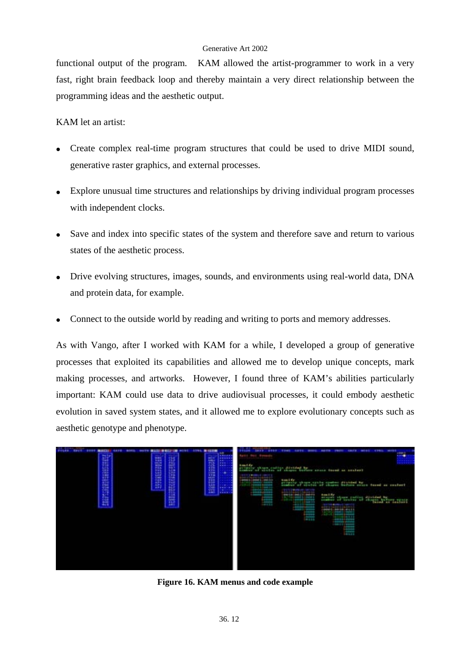functional output of the program. KAM allowed the artist-programmer to work in a very fast, right brain feedback loop and thereby maintain a very direct relationship between the programming ideas and the aesthetic output.

KAM let an artist:

- Create complex real-time program structures that could be used to drive MIDI sound, generative raster graphics, and external processes.
- Explore unusual time structures and relationships by driving individual program processes with independent clocks.
- Save and index into specific states of the system and therefore save and return to various states of the aesthetic process.
- Drive evolving structures, images, sounds, and environments using real-world data, DNA and protein data, for example.
- Connect to the outside world by reading and writing to ports and memory addresses.

As with Vango, after I worked with KAM for a while, I developed a group of generative processes that exploited its capabilities and allowed me to develop unique concepts, mark making processes, and artworks. However, I found three of KAM's abilities particularly important: KAM could use data to drive audiovisual processes, it could embody aesthetic evolution in saved system states, and it allowed me to explore evolutionary concepts such as aesthetic genotype and phenotype.



**Figure 16. KAM menus and code example**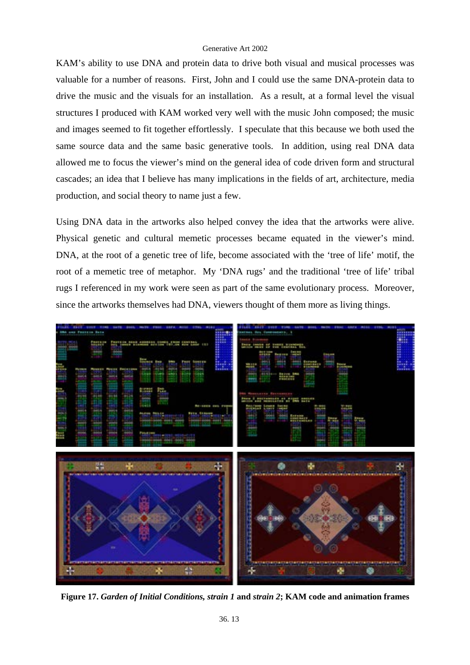KAM's ability to use DNA and protein data to drive both visual and musical processes was valuable for a number of reasons. First, John and I could use the same DNA-protein data to drive the music and the visuals for an installation. As a result, at a formal level the visual structures I produced with KAM worked very well with the music John composed; the music and images seemed to fit together effortlessly. I speculate that this because we both used the same source data and the same basic generative tools. In addition, using real DNA data allowed me to focus the viewer's mind on the general idea of code driven form and structural cascades; an idea that I believe has many implications in the fields of art, architecture, media production, and social theory to name just a few.

Using DNA data in the artworks also helped convey the idea that the artworks were alive. Physical genetic and cultural memetic processes became equated in the viewer's mind. DNA, at the root of a genetic tree of life, become associated with the 'tree of life' motif, the root of a memetic tree of metaphor. My 'DNA rugs' and the traditional 'tree of life' tribal rugs I referenced in my work were seen as part of the same evolutionary process. Moreover, since the artworks themselves had DNA, viewers thought of them more as living things.



**Figure 17.** *Garden of Initial Conditions, strain 1* **and** *strain 2***; KAM code and animation frames**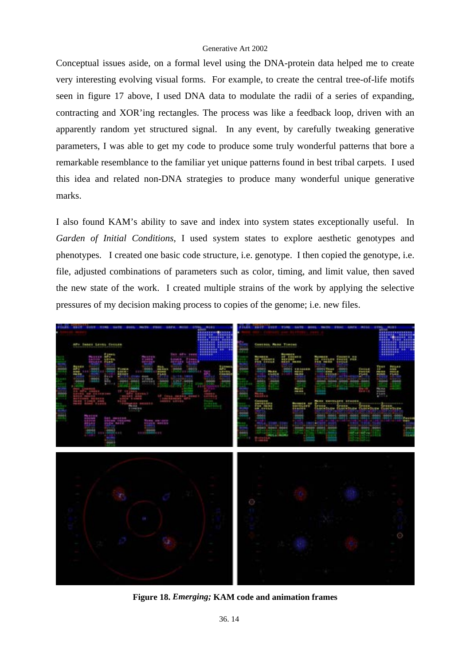Conceptual issues aside, on a formal level using the DNA-protein data helped me to create very interesting evolving visual forms. For example, to create the central tree-of-life motifs seen in figure 17 above, I used DNA data to modulate the radii of a series of expanding, contracting and XOR'ing rectangles. The process was like a feedback loop, driven with an apparently random yet structured signal. In any event, by carefully tweaking generative parameters, I was able to get my code to produce some truly wonderful patterns that bore a remarkable resemblance to the familiar yet unique patterns found in best tribal carpets. I used this idea and related non-DNA strategies to produce many wonderful unique generative marks.

I also found KAM's ability to save and index into system states exceptionally useful. In *Garden of Initial Conditions*, I used system states to explore aesthetic genotypes and phenotypes. I created one basic code structure, i.e. genotype. I then copied the genotype, i.e. file, adjusted combinations of parameters such as color, timing, and limit value, then saved the new state of the work. I created multiple strains of the work by applying the selective pressures of my decision making process to copies of the genome; i.e. new files.



**Figure 18.** *Emerging;* **KAM code and animation frames**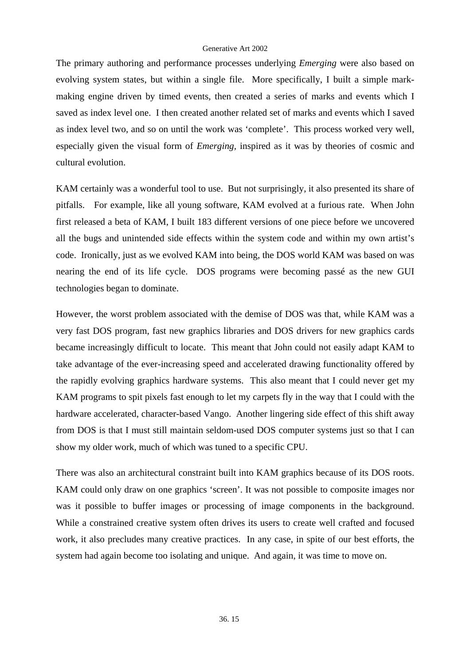The primary authoring and performance processes underlying *Emerging* were also based on evolving system states, but within a single file. More specifically, I built a simple markmaking engine driven by timed events, then created a series of marks and events which I saved as index level one. I then created another related set of marks and events which I saved as index level two, and so on until the work was 'complete'. This process worked very well, especially given the visual form of *Emerging,* inspired as it was by theories of cosmic and cultural evolution.

KAM certainly was a wonderful tool to use. But not surprisingly, it also presented its share of pitfalls. For example, like all young software, KAM evolved at a furious rate. When John first released a beta of KAM, I built 183 different versions of one piece before we uncovered all the bugs and unintended side effects within the system code and within my own artist's code. Ironically, just as we evolved KAM into being, the DOS world KAM was based on was nearing the end of its life cycle. DOS programs were becoming passé as the new GUI technologies began to dominate.

However, the worst problem associated with the demise of DOS was that, while KAM was a very fast DOS program, fast new graphics libraries and DOS drivers for new graphics cards became increasingly difficult to locate. This meant that John could not easily adapt KAM to take advantage of the ever-increasing speed and accelerated drawing functionality offered by the rapidly evolving graphics hardware systems. This also meant that I could never get my KAM programs to spit pixels fast enough to let my carpets fly in the way that I could with the hardware accelerated, character-based Vango. Another lingering side effect of this shift away from DOS is that I must still maintain seldom-used DOS computer systems just so that I can show my older work, much of which was tuned to a specific CPU.

There was also an architectural constraint built into KAM graphics because of its DOS roots. KAM could only draw on one graphics 'screen'. It was not possible to composite images nor was it possible to buffer images or processing of image components in the background. While a constrained creative system often drives its users to create well crafted and focused work, it also precludes many creative practices. In any case, in spite of our best efforts, the system had again become too isolating and unique. And again, it was time to move on.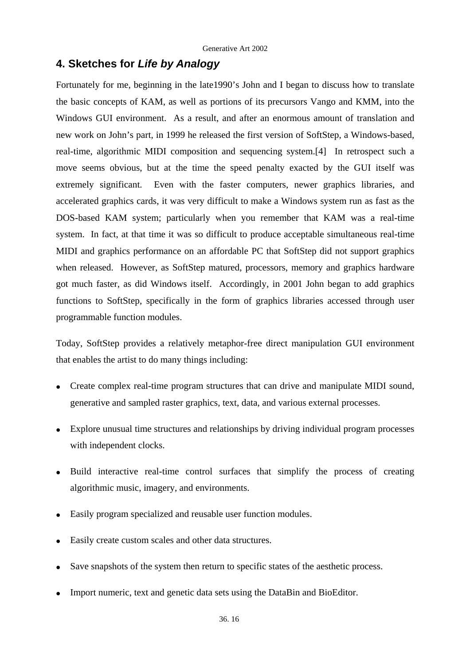## **4. Sketches for** *Life by Analogy*

Fortunately for me, beginning in the late1990's John and I began to discuss how to translate the basic concepts of KAM, as well as portions of its precursors Vango and KMM, into the Windows GUI environment. As a result, and after an enormous amount of translation and new work on John's part, in 1999 he released the first version of SoftStep, a Windows-based, real-time, algorithmic MIDI composition and sequencing system.[4] In retrospect such a move seems obvious, but at the time the speed penalty exacted by the GUI itself was extremely significant. Even with the faster computers, newer graphics libraries, and accelerated graphics cards, it was very difficult to make a Windows system run as fast as the DOS-based KAM system; particularly when you remember that KAM was a real-time system. In fact, at that time it was so difficult to produce acceptable simultaneous real-time MIDI and graphics performance on an affordable PC that SoftStep did not support graphics when released. However, as SoftStep matured, processors, memory and graphics hardware got much faster, as did Windows itself. Accordingly, in 2001 John began to add graphics functions to SoftStep, specifically in the form of graphics libraries accessed through user programmable function modules.

Today, SoftStep provides a relatively metaphor-free direct manipulation GUI environment that enables the artist to do many things including:

- Create complex real-time program structures that can drive and manipulate MIDI sound, generative and sampled raster graphics, text, data, and various external processes.
- Explore unusual time structures and relationships by driving individual program processes with independent clocks.
- Build interactive real-time control surfaces that simplify the process of creating algorithmic music, imagery, and environments.
- Easily program specialized and reusable user function modules.
- Easily create custom scales and other data structures.
- Save snapshots of the system then return to specific states of the aesthetic process.
- Import numeric, text and genetic data sets using the DataBin and BioEditor.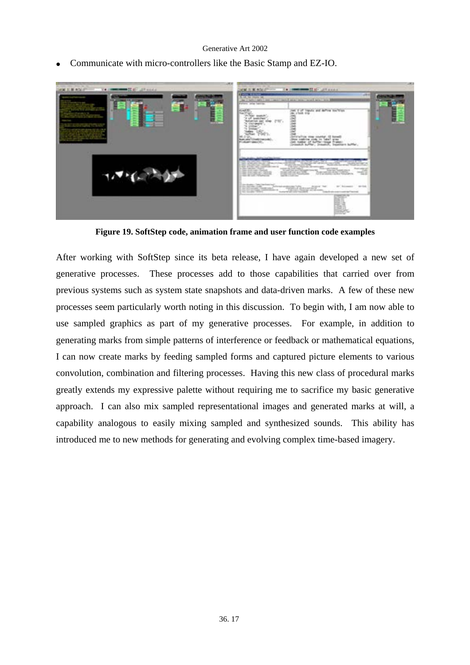• Communicate with micro-controllers like the Basic Stamp and EZ-IO.



**Figure 19. SoftStep code, animation frame and user function code examples** 

After working with SoftStep since its beta release, I have again developed a new set of generative processes. These processes add to those capabilities that carried over from previous systems such as system state snapshots and data-driven marks. A few of these new processes seem particularly worth noting in this discussion. To begin with, I am now able to use sampled graphics as part of my generative processes. For example, in addition to generating marks from simple patterns of interference or feedback or mathematical equations, I can now create marks by feeding sampled forms and captured picture elements to various convolution, combination and filtering processes. Having this new class of procedural marks greatly extends my expressive palette without requiring me to sacrifice my basic generative approach. I can also mix sampled representational images and generated marks at will, a capability analogous to easily mixing sampled and synthesized sounds. This ability has introduced me to new methods for generating and evolving complex time-based imagery.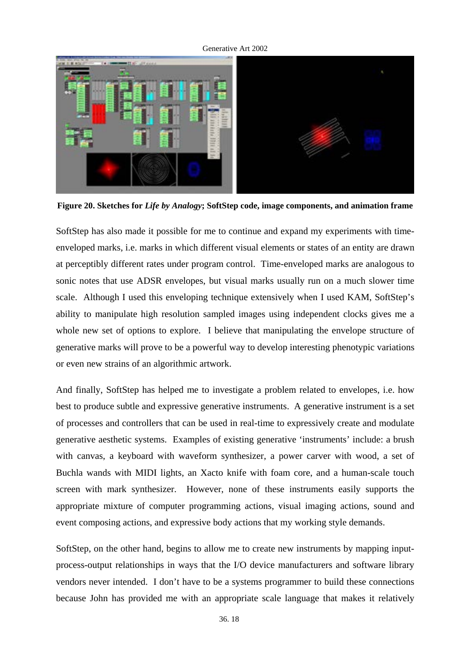Generative Art 2002

**Figure 20. Sketches for** *Life by Analogy***; SoftStep code, image components, and animation frame** 

SoftStep has also made it possible for me to continue and expand my experiments with timeenveloped marks, i.e. marks in which different visual elements or states of an entity are drawn at perceptibly different rates under program control. Time-enveloped marks are analogous to sonic notes that use ADSR envelopes, but visual marks usually run on a much slower time scale. Although I used this enveloping technique extensively when I used KAM, SoftStep's ability to manipulate high resolution sampled images using independent clocks gives me a whole new set of options to explore. I believe that manipulating the envelope structure of generative marks will prove to be a powerful way to develop interesting phenotypic variations or even new strains of an algorithmic artwork.

And finally, SoftStep has helped me to investigate a problem related to envelopes, i.e. how best to produce subtle and expressive generative instruments. A generative instrument is a set of processes and controllers that can be used in real-time to expressively create and modulate generative aesthetic systems. Examples of existing generative 'instruments' include: a brush with canvas, a keyboard with waveform synthesizer, a power carver with wood, a set of Buchla wands with MIDI lights, an Xacto knife with foam core, and a human-scale touch screen with mark synthesizer. However, none of these instruments easily supports the appropriate mixture of computer programming actions, visual imaging actions, sound and event composing actions, and expressive body actions that my working style demands.

SoftStep, on the other hand, begins to allow me to create new instruments by mapping inputprocess-output relationships in ways that the I/O device manufacturers and software library vendors never intended. I don't have to be a systems programmer to build these connections because John has provided me with an appropriate scale language that makes it relatively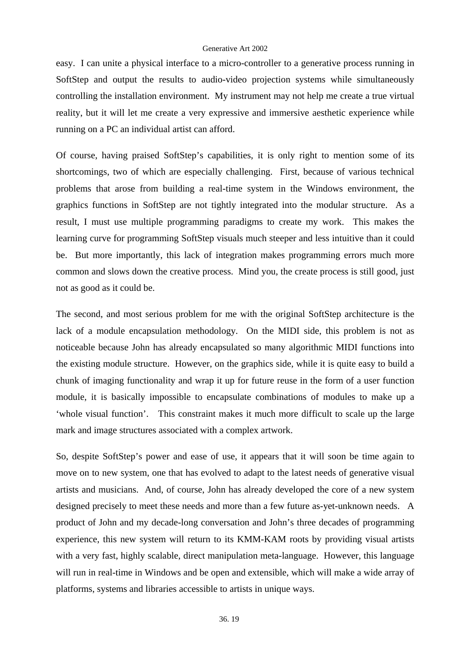easy. I can unite a physical interface to a micro-controller to a generative process running in SoftStep and output the results to audio-video projection systems while simultaneously controlling the installation environment. My instrument may not help me create a true virtual reality, but it will let me create a very expressive and immersive aesthetic experience while running on a PC an individual artist can afford.

Of course, having praised SoftStep's capabilities, it is only right to mention some of its shortcomings, two of which are especially challenging. First, because of various technical problems that arose from building a real-time system in the Windows environment, the graphics functions in SoftStep are not tightly integrated into the modular structure. As a result, I must use multiple programming paradigms to create my work. This makes the learning curve for programming SoftStep visuals much steeper and less intuitive than it could be. But more importantly, this lack of integration makes programming errors much more common and slows down the creative process. Mind you, the create process is still good, just not as good as it could be.

The second, and most serious problem for me with the original SoftStep architecture is the lack of a module encapsulation methodology. On the MIDI side, this problem is not as noticeable because John has already encapsulated so many algorithmic MIDI functions into the existing module structure. However, on the graphics side, while it is quite easy to build a chunk of imaging functionality and wrap it up for future reuse in the form of a user function module, it is basically impossible to encapsulate combinations of modules to make up a 'whole visual function'. This constraint makes it much more difficult to scale up the large mark and image structures associated with a complex artwork.

So, despite SoftStep's power and ease of use, it appears that it will soon be time again to move on to new system, one that has evolved to adapt to the latest needs of generative visual artists and musicians. And, of course, John has already developed the core of a new system designed precisely to meet these needs and more than a few future as-yet-unknown needs. A product of John and my decade-long conversation and John's three decades of programming experience, this new system will return to its KMM-KAM roots by providing visual artists with a very fast, highly scalable, direct manipulation meta-language. However, this language will run in real-time in Windows and be open and extensible, which will make a wide array of platforms, systems and libraries accessible to artists in unique ways.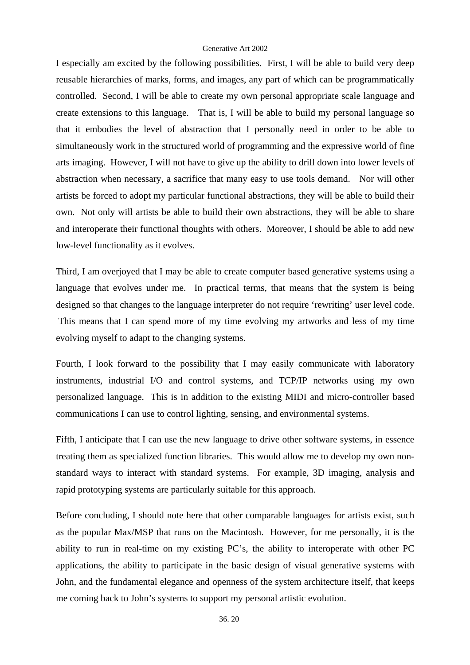I especially am excited by the following possibilities. First, I will be able to build very deep reusable hierarchies of marks, forms, and images, any part of which can be programmatically controlled. Second, I will be able to create my own personal appropriate scale language and create extensions to this language. That is, I will be able to build my personal language so that it embodies the level of abstraction that I personally need in order to be able to simultaneously work in the structured world of programming and the expressive world of fine arts imaging. However, I will not have to give up the ability to drill down into lower levels of abstraction when necessary, a sacrifice that many easy to use tools demand. Nor will other artists be forced to adopt my particular functional abstractions, they will be able to build their own. Not only will artists be able to build their own abstractions, they will be able to share and interoperate their functional thoughts with others. Moreover, I should be able to add new low-level functionality as it evolves.

Third, I am overjoyed that I may be able to create computer based generative systems using a language that evolves under me. In practical terms, that means that the system is being designed so that changes to the language interpreter do not require 'rewriting' user level code. This means that I can spend more of my time evolving my artworks and less of my time evolving myself to adapt to the changing systems.

Fourth, I look forward to the possibility that I may easily communicate with laboratory instruments, industrial I/O and control systems, and TCP/IP networks using my own personalized language. This is in addition to the existing MIDI and micro-controller based communications I can use to control lighting, sensing, and environmental systems.

Fifth, I anticipate that I can use the new language to drive other software systems, in essence treating them as specialized function libraries. This would allow me to develop my own nonstandard ways to interact with standard systems. For example, 3D imaging, analysis and rapid prototyping systems are particularly suitable for this approach.

Before concluding, I should note here that other comparable languages for artists exist, such as the popular Max/MSP that runs on the Macintosh. However, for me personally, it is the ability to run in real-time on my existing PC's, the ability to interoperate with other PC applications, the ability to participate in the basic design of visual generative systems with John, and the fundamental elegance and openness of the system architecture itself, that keeps me coming back to John's systems to support my personal artistic evolution.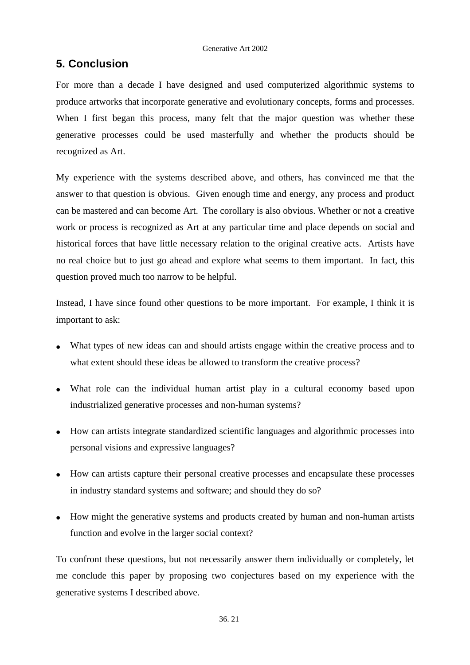# **5. Conclusion**

For more than a decade I have designed and used computerized algorithmic systems to produce artworks that incorporate generative and evolutionary concepts, forms and processes. When I first began this process, many felt that the major question was whether these generative processes could be used masterfully and whether the products should be recognized as Art.

My experience with the systems described above, and others, has convinced me that the answer to that question is obvious. Given enough time and energy, any process and product can be mastered and can become Art. The corollary is also obvious. Whether or not a creative work or process is recognized as Art at any particular time and place depends on social and historical forces that have little necessary relation to the original creative acts. Artists have no real choice but to just go ahead and explore what seems to them important. In fact, this question proved much too narrow to be helpful.

Instead, I have since found other questions to be more important. For example, I think it is important to ask:

- What types of new ideas can and should artists engage within the creative process and to what extent should these ideas be allowed to transform the creative process?
- What role can the individual human artist play in a cultural economy based upon industrialized generative processes and non-human systems?
- How can artists integrate standardized scientific languages and algorithmic processes into personal visions and expressive languages?
- How can artists capture their personal creative processes and encapsulate these processes in industry standard systems and software; and should they do so?
- How might the generative systems and products created by human and non-human artists function and evolve in the larger social context?

To confront these questions, but not necessarily answer them individually or completely, let me conclude this paper by proposing two conjectures based on my experience with the generative systems I described above.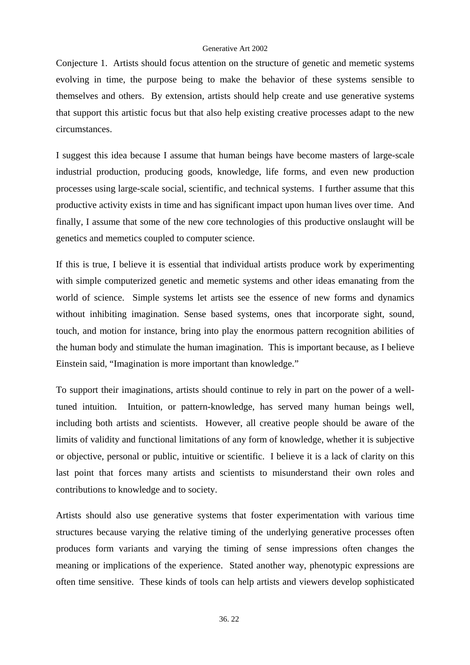Conjecture 1. Artists should focus attention on the structure of genetic and memetic systems evolving in time, the purpose being to make the behavior of these systems sensible to themselves and others. By extension, artists should help create and use generative systems that support this artistic focus but that also help existing creative processes adapt to the new circumstances.

I suggest this idea because I assume that human beings have become masters of large-scale industrial production, producing goods, knowledge, life forms, and even new production processes using large-scale social, scientific, and technical systems. I further assume that this productive activity exists in time and has significant impact upon human lives over time. And finally, I assume that some of the new core technologies of this productive onslaught will be genetics and memetics coupled to computer science.

If this is true, I believe it is essential that individual artists produce work by experimenting with simple computerized genetic and memetic systems and other ideas emanating from the world of science. Simple systems let artists see the essence of new forms and dynamics without inhibiting imagination. Sense based systems, ones that incorporate sight, sound, touch, and motion for instance, bring into play the enormous pattern recognition abilities of the human body and stimulate the human imagination. This is important because, as I believe Einstein said, "Imagination is more important than knowledge."

To support their imaginations, artists should continue to rely in part on the power of a welltuned intuition. Intuition, or pattern-knowledge, has served many human beings well, including both artists and scientists. However, all creative people should be aware of the limits of validity and functional limitations of any form of knowledge, whether it is subjective or objective, personal or public, intuitive or scientific. I believe it is a lack of clarity on this last point that forces many artists and scientists to misunderstand their own roles and contributions to knowledge and to society.

Artists should also use generative systems that foster experimentation with various time structures because varying the relative timing of the underlying generative processes often produces form variants and varying the timing of sense impressions often changes the meaning or implications of the experience. Stated another way, phenotypic expressions are often time sensitive. These kinds of tools can help artists and viewers develop sophisticated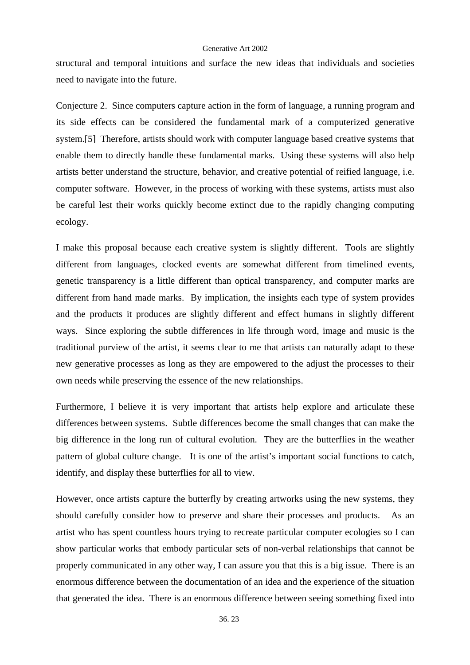structural and temporal intuitions and surface the new ideas that individuals and societies need to navigate into the future.

Conjecture 2. Since computers capture action in the form of language, a running program and its side effects can be considered the fundamental mark of a computerized generative system.[5] Therefore, artists should work with computer language based creative systems that enable them to directly handle these fundamental marks. Using these systems will also help artists better understand the structure, behavior, and creative potential of reified language, i.e. computer software. However, in the process of working with these systems, artists must also be careful lest their works quickly become extinct due to the rapidly changing computing ecology.

I make this proposal because each creative system is slightly different. Tools are slightly different from languages, clocked events are somewhat different from timelined events, genetic transparency is a little different than optical transparency, and computer marks are different from hand made marks. By implication, the insights each type of system provides and the products it produces are slightly different and effect humans in slightly different ways. Since exploring the subtle differences in life through word, image and music is the traditional purview of the artist, it seems clear to me that artists can naturally adapt to these new generative processes as long as they are empowered to the adjust the processes to their own needs while preserving the essence of the new relationships.

Furthermore, I believe it is very important that artists help explore and articulate these differences between systems. Subtle differences become the small changes that can make the big difference in the long run of cultural evolution. They are the butterflies in the weather pattern of global culture change. It is one of the artist's important social functions to catch, identify, and display these butterflies for all to view.

However, once artists capture the butterfly by creating artworks using the new systems, they should carefully consider how to preserve and share their processes and products. As an artist who has spent countless hours trying to recreate particular computer ecologies so I can show particular works that embody particular sets of non-verbal relationships that cannot be properly communicated in any other way, I can assure you that this is a big issue. There is an enormous difference between the documentation of an idea and the experience of the situation that generated the idea. There is an enormous difference between seeing something fixed into